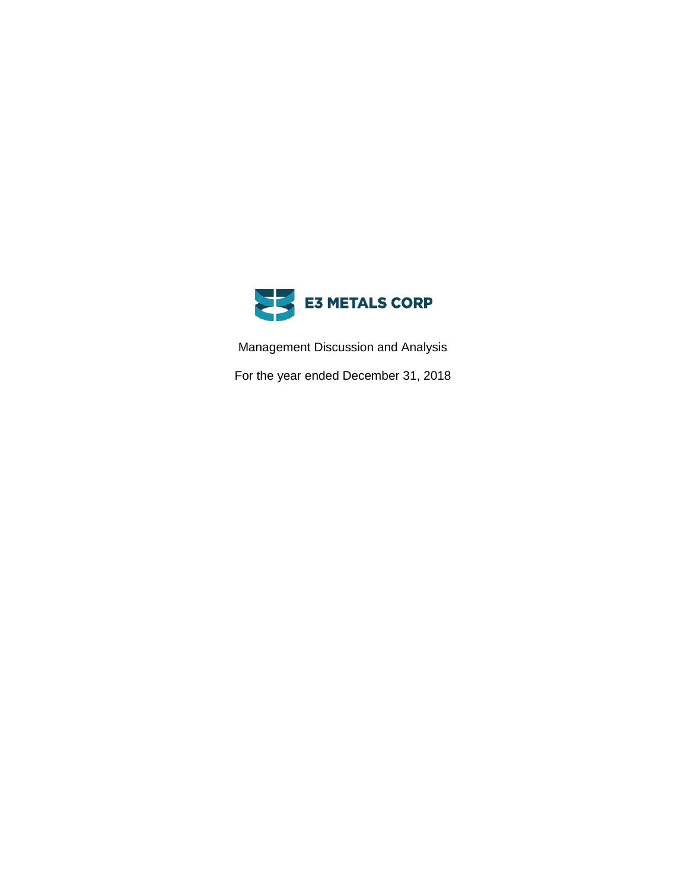

Management Discussion and Analysis

For the year ended December 31, 2018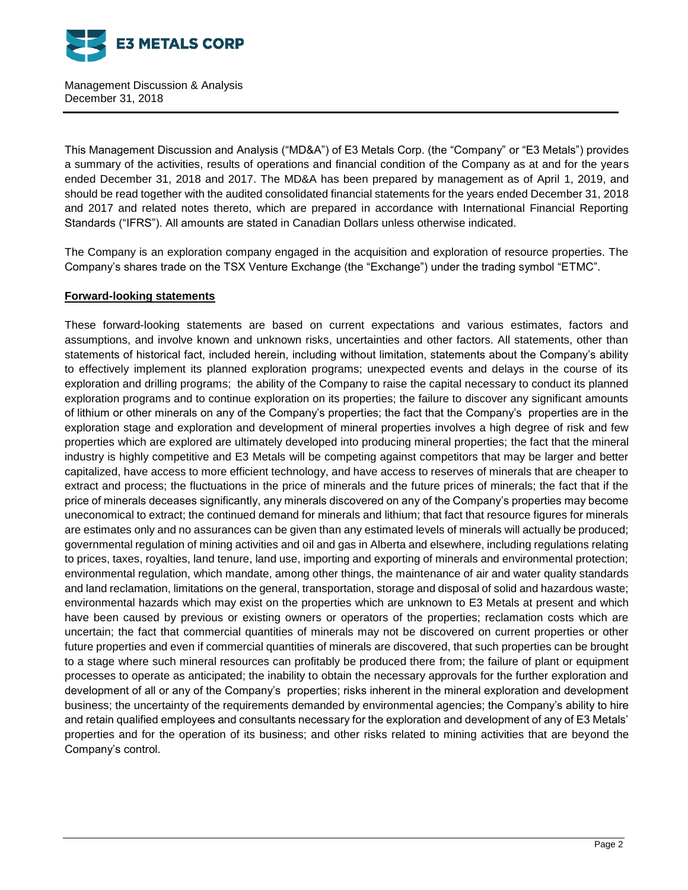

This Management Discussion and Analysis ("MD&A") of E3 Metals Corp. (the "Company" or "E3 Metals") provides a summary of the activities, results of operations and financial condition of the Company as at and for the years ended December 31, 2018 and 2017. The MD&A has been prepared by management as of April 1, 2019, and should be read together with the audited consolidated financial statements for the years ended December 31, 2018 and 2017 and related notes thereto, which are prepared in accordance with International Financial Reporting Standards ("IFRS"). All amounts are stated in Canadian Dollars unless otherwise indicated.

The Company is an exploration company engaged in the acquisition and exploration of resource properties. The Company's shares trade on the TSX Venture Exchange (the "Exchange") under the trading symbol "ETMC".

# **Forward-looking statements**

These forward-looking statements are based on current expectations and various estimates, factors and assumptions, and involve known and unknown risks, uncertainties and other factors. All statements, other than statements of historical fact, included herein, including without limitation, statements about the Company's ability to effectively implement its planned exploration programs; unexpected events and delays in the course of its exploration and drilling programs; the ability of the Company to raise the capital necessary to conduct its planned exploration programs and to continue exploration on its properties; the failure to discover any significant amounts of lithium or other minerals on any of the Company's properties; the fact that the Company's properties are in the exploration stage and exploration and development of mineral properties involves a high degree of risk and few properties which are explored are ultimately developed into producing mineral properties; the fact that the mineral industry is highly competitive and E3 Metals will be competing against competitors that may be larger and better capitalized, have access to more efficient technology, and have access to reserves of minerals that are cheaper to extract and process; the fluctuations in the price of minerals and the future prices of minerals; the fact that if the price of minerals deceases significantly, any minerals discovered on any of the Company's properties may become uneconomical to extract; the continued demand for minerals and lithium; that fact that resource figures for minerals are estimates only and no assurances can be given than any estimated levels of minerals will actually be produced; governmental regulation of mining activities and oil and gas in Alberta and elsewhere, including regulations relating to prices, taxes, royalties, land tenure, land use, importing and exporting of minerals and environmental protection; environmental regulation, which mandate, among other things, the maintenance of air and water quality standards and land reclamation, limitations on the general, transportation, storage and disposal of solid and hazardous waste; environmental hazards which may exist on the properties which are unknown to E3 Metals at present and which have been caused by previous or existing owners or operators of the properties; reclamation costs which are uncertain; the fact that commercial quantities of minerals may not be discovered on current properties or other future properties and even if commercial quantities of minerals are discovered, that such properties can be brought to a stage where such mineral resources can profitably be produced there from; the failure of plant or equipment processes to operate as anticipated; the inability to obtain the necessary approvals for the further exploration and development of all or any of the Company's properties; risks inherent in the mineral exploration and development business; the uncertainty of the requirements demanded by environmental agencies; the Company's ability to hire and retain qualified employees and consultants necessary for the exploration and development of any of E3 Metals' properties and for the operation of its business; and other risks related to mining activities that are beyond the Company's control.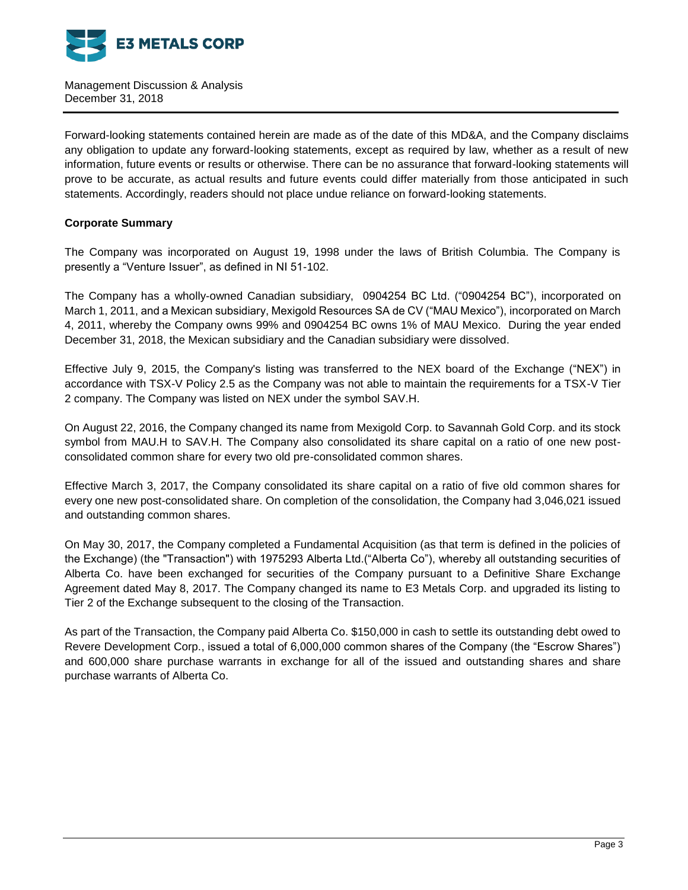

Forward-looking statements contained herein are made as of the date of this MD&A, and the Company disclaims any obligation to update any forward-looking statements, except as required by law, whether as a result of new information, future events or results or otherwise. There can be no assurance that forward-looking statements will prove to be accurate, as actual results and future events could differ materially from those anticipated in such statements. Accordingly, readers should not place undue reliance on forward-looking statements.

# **Corporate Summary**

The Company was incorporated on August 19, 1998 under the laws of British Columbia. The Company is presently a "Venture Issuer", as defined in NI 51-102.

The Company has a wholly-owned Canadian subsidiary, 0904254 BC Ltd. ("0904254 BC"), incorporated on March 1, 2011, and a Mexican subsidiary, Mexigold Resources SA de CV ("MAU Mexico"), incorporated on March 4, 2011, whereby the Company owns 99% and 0904254 BC owns 1% of MAU Mexico. During the year ended December 31, 2018, the Mexican subsidiary and the Canadian subsidiary were dissolved.

Effective July 9, 2015, the Company's listing was transferred to the NEX board of the Exchange ("NEX") in accordance with TSX-V Policy 2.5 as the Company was not able to maintain the requirements for a TSX-V Tier 2 company. The Company was listed on NEX under the symbol SAV.H.

On August 22, 2016, the Company changed its name from Mexigold Corp. to Savannah Gold Corp. and its stock symbol from MAU.H to SAV.H. The Company also consolidated its share capital on a ratio of one new postconsolidated common share for every two old pre-consolidated common shares.

Effective March 3, 2017, the Company consolidated its share capital on a ratio of five old common shares for every one new post-consolidated share. On completion of the consolidation, the Company had 3,046,021 issued and outstanding common shares.

On May 30, 2017, the Company completed a Fundamental Acquisition (as that term is defined in the policies of the Exchange) (the "Transaction") with 1975293 Alberta Ltd.("Alberta Co"), whereby all outstanding securities of Alberta Co. have been exchanged for securities of the Company pursuant to a Definitive Share Exchange Agreement dated May 8, 2017. The Company changed its name to E3 Metals Corp. and upgraded its listing to Tier 2 of the Exchange subsequent to the closing of the Transaction.

As part of the Transaction, the Company paid Alberta Co. \$150,000 in cash to settle its outstanding debt owed to Revere Development Corp., issued a total of 6,000,000 common shares of the Company (the "Escrow Shares") and 600,000 share purchase warrants in exchange for all of the issued and outstanding shares and share purchase warrants of Alberta Co.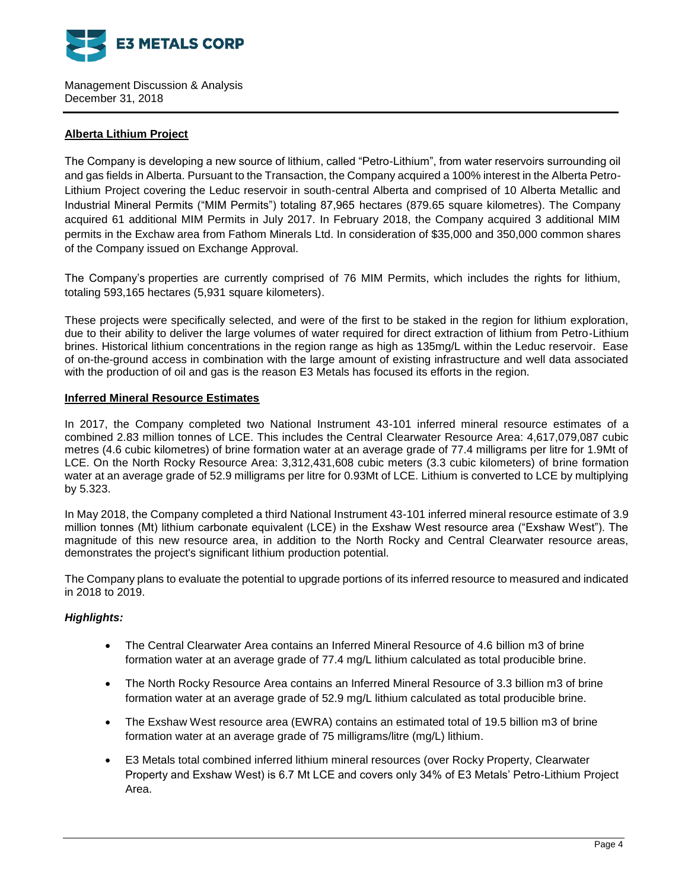

# **Alberta Lithium Project**

The Company is developing a new source of lithium, called "Petro-Lithium", from water reservoirs surrounding oil and gas fields in Alberta. Pursuant to the Transaction, the Company acquired a 100% interest in the Alberta Petro-Lithium Project covering the Leduc reservoir in south-central Alberta and comprised of 10 Alberta Metallic and Industrial Mineral Permits ("MIM Permits") totaling 87,965 hectares (879.65 square kilometres). The Company acquired 61 additional MIM Permits in July 2017. In February 2018, the Company acquired 3 additional MIM permits in the Exchaw area from Fathom Minerals Ltd. In consideration of \$35,000 and 350,000 common shares of the Company issued on Exchange Approval.

The Company's properties are currently comprised of 76 MIM Permits, which includes the rights for lithium, totaling 593,165 hectares (5,931 square kilometers).

These projects were specifically selected, and were of the first to be staked in the region for lithium exploration, due to their ability to deliver the large volumes of water required for direct extraction of lithium from Petro-Lithium brines. Historical lithium concentrations in the region range as high as 135mg/L within the Leduc reservoir. Ease of on-the-ground access in combination with the large amount of existing infrastructure and well data associated with the production of oil and gas is the reason E3 Metals has focused its efforts in the region.

# **Inferred Mineral Resource Estimates**

In 2017, the Company completed two National Instrument 43-101 inferred mineral resource estimates of a combined 2.83 million tonnes of LCE. This includes the Central Clearwater Resource Area: 4,617,079,087 cubic metres (4.6 cubic kilometres) of brine formation water at an average grade of 77.4 milligrams per litre for 1.9Mt of LCE. On the North Rocky Resource Area: 3,312,431,608 cubic meters (3.3 cubic kilometers) of brine formation water at an average grade of 52.9 milligrams per litre for 0.93Mt of LCE. Lithium is converted to LCE by multiplying by 5.323.

In May 2018, the Company completed a third National Instrument 43-101 inferred mineral resource estimate of 3.9 million tonnes (Mt) lithium carbonate equivalent (LCE) in the Exshaw West resource area ("Exshaw West"). The magnitude of this new resource area, in addition to the North Rocky and Central Clearwater resource areas, demonstrates the project's significant lithium production potential.

The Company plans to evaluate the potential to upgrade portions of its inferred resource to measured and indicated in 2018 to 2019.

# *Highlights:*

- The Central Clearwater Area contains an Inferred Mineral Resource of 4.6 billion m3 of brine formation water at an average grade of 77.4 mg/L lithium calculated as total producible brine.
- The North Rocky Resource Area contains an Inferred Mineral Resource of 3.3 billion m3 of brine formation water at an average grade of 52.9 mg/L lithium calculated as total producible brine.
- The Exshaw West resource area (EWRA) contains an estimated total of 19.5 billion m3 of brine formation water at an average grade of 75 milligrams/litre (mg/L) lithium.
- E3 Metals total combined inferred lithium mineral resources (over Rocky Property, Clearwater Property and Exshaw West) is 6.7 Mt LCE and covers only 34% of E3 Metals' Petro-Lithium Project Area.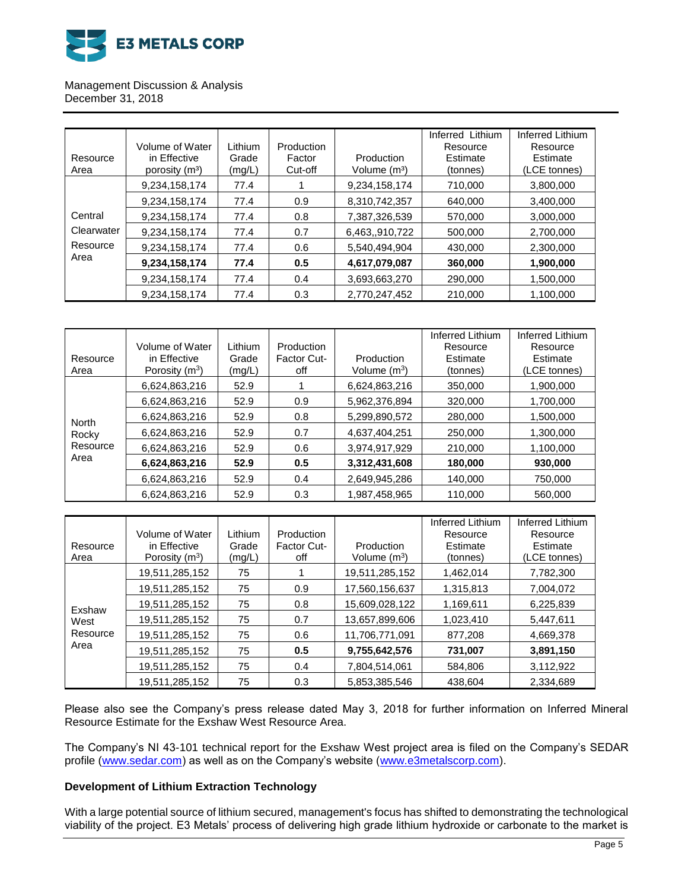

# Management Discussion & Analysis

December 31, 2018

| Resource<br>Area | Volume of Water<br>in Effective<br>porosity (m <sup>3</sup> ) | Lithium<br>Grade<br>(mg/L) | Production<br>Factor<br>Cut-off | Production<br>Volume $(m3)$ | Inferred Lithium<br>Resource<br>Estimate<br>(tonnes) | Inferred Lithium<br>Resource<br>Estimate<br>(LCE tonnes) |
|------------------|---------------------------------------------------------------|----------------------------|---------------------------------|-----------------------------|------------------------------------------------------|----------------------------------------------------------|
|                  | 9,234,158,174                                                 | 77.4                       |                                 | 9,234,158,174               | 710,000                                              | 3,800,000                                                |
|                  | 9,234,158,174                                                 | 77.4                       | 0.9                             | 8,310,742,357               | 640.000                                              | 3,400,000                                                |
| Central          | 9,234,158,174                                                 | 77.4                       | 0.8                             | 7,387,326,539               | 570.000                                              | 3,000,000                                                |
| Clearwater       | 9,234,158,174                                                 | 77.4                       | 0.7                             | 6,463,,910,722              | 500,000                                              | 2,700,000                                                |
| Resource         | 9,234,158,174                                                 | 77.4                       | 0.6                             | 5,540,494,904               | 430.000                                              | 2,300,000                                                |
| Area             | 9,234,158,174                                                 | 77.4                       | 0.5                             | 4,617,079,087               | 360,000                                              | 1,900,000                                                |
|                  | 9,234,158,174                                                 | 77.4                       | 0.4                             | 3,693,663,270               | 290,000                                              | 1,500,000                                                |
|                  | 9,234,158,174                                                 | 77.4                       | 0.3                             | 2,770,247,452               | 210,000                                              | 1,100,000                                                |

|                                           |                  |         |                    |                          | Inferred Lithium | Inferred Lithium |
|-------------------------------------------|------------------|---------|--------------------|--------------------------|------------------|------------------|
|                                           | Volume of Water  | Lithium | Production         |                          | Resource         | Resource         |
| Resource                                  | in Effective     | Grade   | <b>Factor Cut-</b> | Production               | Estimate         | Estimate         |
| Area                                      | Porosity $(m^3)$ | (mg/L)  | off                | Volume (m <sup>3</sup> ) | (tonnes)         | (LCE tonnes)     |
|                                           | 6,624,863,216    | 52.9    |                    | 6,624,863,216            | 350,000          | 1,900,000        |
| <b>North</b><br>Rocky<br>Resource<br>Area | 6,624,863,216    | 52.9    | 0.9                | 5,962,376,894            | 320,000          | 1,700,000        |
|                                           | 6,624,863,216    | 52.9    | 0.8                | 5,299,890,572            | 280,000          | 1,500,000        |
|                                           | 6,624,863,216    | 52.9    | 0.7                | 4,637,404,251            | 250,000          | 1,300,000        |
|                                           | 6,624,863,216    | 52.9    | 0.6                | 3,974,917,929            | 210.000          | 1,100,000        |
|                                           | 6,624,863,216    | 52.9    | 0.5                | 3,312,431,608            | 180,000          | 930,000          |
|                                           | 6,624,863,216    | 52.9    | 0.4                | 2,649,945,286            | 140,000          | 750,000          |
|                                           | 6,624,863,216    | 52.9    | 0.3                | 1,987,458,965            | 110.000          | 560,000          |

|                                    |                  |         |             |                | Inferred Lithium | Inferred Lithium |
|------------------------------------|------------------|---------|-------------|----------------|------------------|------------------|
|                                    | Volume of Water  | Lithium | Production  |                | Resource         | Resource         |
| Resource                           | in Effective     | Grade   | Factor Cut- | Production     | Estimate         | Estimate         |
| Area                               | Porosity $(m^3)$ | (mg/L)  | off         | Volume $(m^3)$ | (tonnes)         | (LCE tonnes)     |
|                                    | 19,511,285,152   | 75      |             | 19,511,285,152 | 1,462,014        | 7,782,300        |
| Exshaw<br>West<br>Resource<br>Area | 19,511,285,152   | 75      | 0.9         | 17,560,156,637 | 1,315,813        | 7.004.072        |
|                                    | 19,511,285,152   | 75      | 0.8         | 15,609,028,122 | 1,169,611        | 6,225,839        |
|                                    | 19,511,285,152   | 75      | 0.7         | 13,657,899,606 | 1,023,410        | 5,447,611        |
|                                    | 19,511,285,152   | 75      | 0.6         | 11,706,771,091 | 877,208          | 4,669,378        |
|                                    | 19,511,285,152   | 75      | 0.5         | 9,755,642,576  | 731,007          | 3,891,150        |
|                                    | 19,511,285,152   | 75      | 0.4         | 7,804,514,061  | 584,806          | 3,112,922        |
|                                    | 19,511,285,152   | 75      | 0.3         | 5,853,385,546  | 438,604          | 2,334,689        |

Please also see the Company's press release dated May 3, 2018 for further information on Inferred Mineral Resource Estimate for the Exshaw West Resource Area.

The Company's NI 43-101 technical report for the Exshaw West project area is filed on the Company's SEDAR profile [\(www.sedar.com\)](http://www.sedar.com/) as well as on the Company's website [\(www.e3metalscorp.com\)](http://www.e3metalscorp.com/).

# **Development of Lithium Extraction Technology**

With a large potential source of lithium secured, management's focus has shifted to demonstrating the technological viability of the project. E3 Metals' process of delivering high grade lithium hydroxide or carbonate to the market is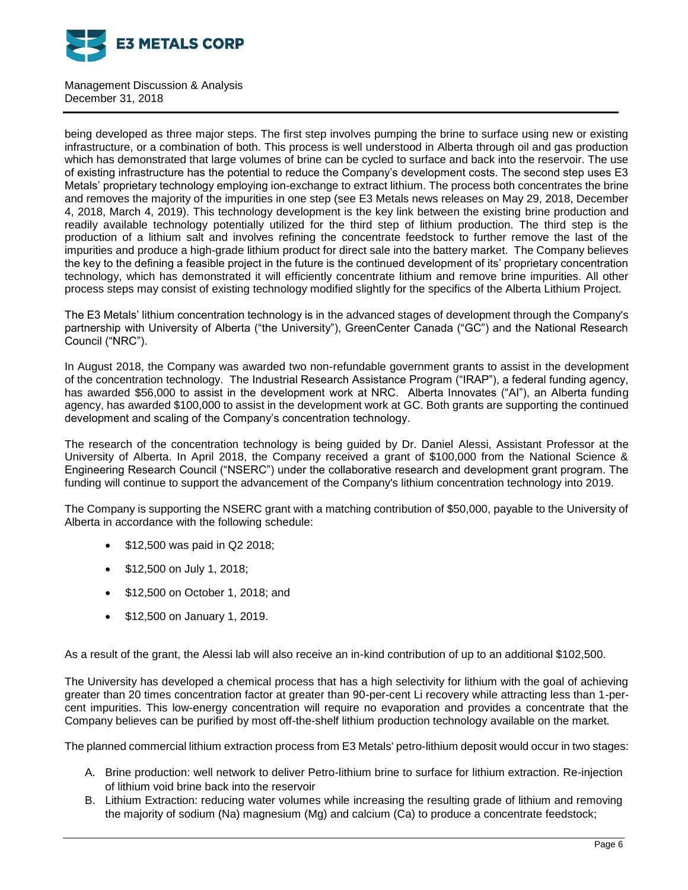

being developed as three major steps. The first step involves pumping the brine to surface using new or existing infrastructure, or a combination of both. This process is well understood in Alberta through oil and gas production which has demonstrated that large volumes of brine can be cycled to surface and back into the reservoir. The use of existing infrastructure has the potential to reduce the Company's development costs. The second step uses E3 Metals' proprietary technology employing ion-exchange to extract lithium. The process both concentrates the brine and removes the majority of the impurities in one step (see E3 Metals news releases on May 29, 2018, December 4, 2018, March 4, 2019). This technology development is the key link between the existing brine production and readily available technology potentially utilized for the third step of lithium production. The third step is the production of a lithium salt and involves refining the concentrate feedstock to further remove the last of the impurities and produce a high-grade lithium product for direct sale into the battery market. The Company believes the key to the defining a feasible project in the future is the continued development of its' proprietary concentration technology, which has demonstrated it will efficiently concentrate lithium and remove brine impurities. All other process steps may consist of existing technology modified slightly for the specifics of the Alberta Lithium Project.

The E3 Metals' lithium concentration technology is in the advanced stages of development through the Company's partnership with University of Alberta ("the University"), GreenCenter Canada ("GC") and the National Research Council ("NRC").

In August 2018, the Company was awarded two non-refundable government grants to assist in the development of the concentration technology. The Industrial Research Assistance Program ("IRAP"), a federal funding agency, has awarded \$56,000 to assist in the development work at NRC. Alberta Innovates ("AI"), an Alberta funding agency, has awarded \$100,000 to assist in the development work at GC. Both grants are supporting the continued development and scaling of the Company's concentration technology.

The research of the concentration technology is being guided by Dr. Daniel Alessi, Assistant Professor at the University of Alberta. In April 2018, the Company received a grant of \$100,000 from the National Science & Engineering Research Council ("NSERC") under the collaborative research and development grant program. The funding will continue to support the advancement of the Company's lithium concentration technology into 2019.

The Company is supporting the NSERC grant with a matching contribution of \$50,000, payable to the University of Alberta in accordance with the following schedule:

- \$12,500 was paid in Q2 2018;
- \$12,500 on July 1, 2018;
- \$12,500 on October 1, 2018; and
- \$12,500 on January 1, 2019.

As a result of the grant, the Alessi lab will also receive an in-kind contribution of up to an additional \$102,500.

The University has developed a chemical process that has a high selectivity for lithium with the goal of achieving greater than 20 times concentration factor at greater than 90-per-cent Li recovery while attracting less than 1-percent impurities. This low-energy concentration will require no evaporation and provides a concentrate that the Company believes can be purified by most off-the-shelf lithium production technology available on the market.

The planned commercial lithium extraction process from E3 Metals' petro-lithium deposit would occur in two stages:

- A. Brine production: well network to deliver Petro-lithium brine to surface for lithium extraction. Re-injection of lithium void brine back into the reservoir
- B. Lithium Extraction: reducing water volumes while increasing the resulting grade of lithium and removing the majority of sodium (Na) magnesium (Mg) and calcium (Ca) to produce a concentrate feedstock;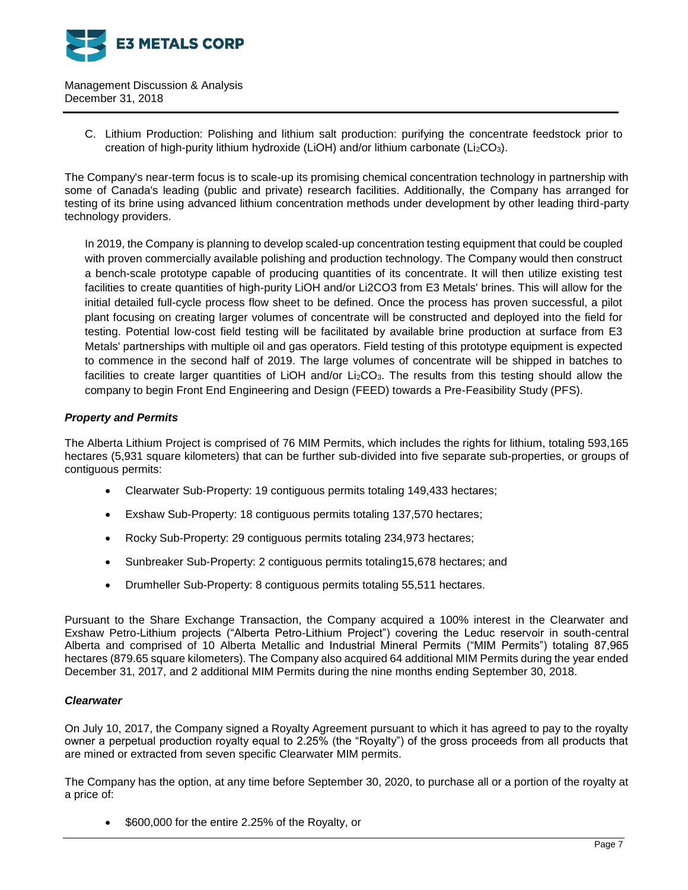

> C. Lithium Production: Polishing and lithium salt production: purifying the concentrate feedstock prior to creation of high-purity lithium hydroxide (LiOH) and/or lithium carbonate ( $Li<sub>2</sub>CO<sub>3</sub>$ ).

The Company's near-term focus is to scale-up its promising chemical concentration technology in partnership with some of Canada's leading (public and private) research facilities. Additionally, the Company has arranged for testing of its brine using advanced lithium concentration methods under development by other leading third-party technology providers.

In 2019, the Company is planning to develop scaled-up concentration testing equipment that could be coupled with proven commercially available polishing and production technology. The Company would then construct a bench-scale prototype capable of producing quantities of its concentrate. It will then utilize existing test facilities to create quantities of high-purity LiOH and/or Li2CO3 from E3 Metals' brines. This will allow for the initial detailed full-cycle process flow sheet to be defined. Once the process has proven successful, a pilot plant focusing on creating larger volumes of concentrate will be constructed and deployed into the field for testing. Potential low-cost field testing will be facilitated by available brine production at surface from E3 Metals' partnerships with multiple oil and gas operators. Field testing of this prototype equipment is expected to commence in the second half of 2019. The large volumes of concentrate will be shipped in batches to facilities to create larger quantities of LiOH and/or Li<sub>2</sub>CO<sub>3</sub>. The results from this testing should allow the company to begin Front End Engineering and Design (FEED) towards a Pre-Feasibility Study (PFS).

# *Property and Permits*

The Alberta Lithium Project is comprised of 76 MIM Permits, which includes the rights for lithium, totaling 593,165 hectares (5,931 square kilometers) that can be further sub-divided into five separate sub-properties, or groups of contiguous permits:

- Clearwater Sub-Property: 19 contiguous permits totaling 149,433 hectares;
- Exshaw Sub-Property: 18 contiguous permits totaling 137,570 hectares;
- Rocky Sub-Property: 29 contiguous permits totaling 234,973 hectares;
- Sunbreaker Sub-Property: 2 contiguous permits totaling15,678 hectares; and
- Drumheller Sub-Property: 8 contiguous permits totaling 55,511 hectares.

Pursuant to the Share Exchange Transaction, the Company acquired a 100% interest in the Clearwater and Exshaw Petro-Lithium projects ("Alberta Petro-Lithium Project") covering the Leduc reservoir in south-central Alberta and comprised of 10 Alberta Metallic and Industrial Mineral Permits ("MIM Permits") totaling 87,965 hectares (879.65 square kilometers). The Company also acquired 64 additional MIM Permits during the year ended December 31, 2017, and 2 additional MIM Permits during the nine months ending September 30, 2018.

# *Clearwater*

On July 10, 2017, the Company signed a Royalty Agreement pursuant to which it has agreed to pay to the royalty owner a perpetual production royalty equal to 2.25% (the "Royalty") of the gross proceeds from all products that are mined or extracted from seven specific Clearwater MIM permits.

The Company has the option, at any time before September 30, 2020, to purchase all or a portion of the royalty at a price of:

• \$600,000 for the entire 2.25% of the Royalty, or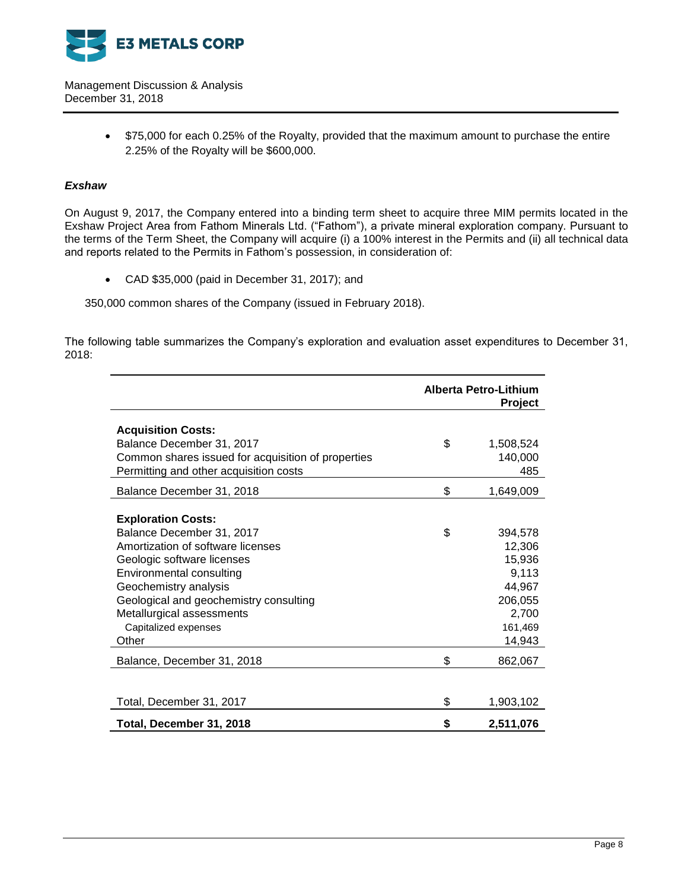

> • \$75,000 for each 0.25% of the Royalty, provided that the maximum amount to purchase the entire 2.25% of the Royalty will be \$600,000.

# *Exshaw*

On August 9, 2017, the Company entered into a binding term sheet to acquire three MIM permits located in the Exshaw Project Area from Fathom Minerals Ltd. ("Fathom"), a private mineral exploration company. Pursuant to the terms of the Term Sheet, the Company will acquire (i) a 100% interest in the Permits and (ii) all technical data and reports related to the Permits in Fathom's possession, in consideration of:

CAD \$35,000 (paid in December 31, 2017); and

350,000 common shares of the Company (issued in February 2018).

The following table summarizes the Company's exploration and evaluation asset expenditures to December 31, 2018:

|                                                                                                                                                                                                                                                                                        |          | Alberta Petro-Lithium<br><b>Project</b>                                                 |
|----------------------------------------------------------------------------------------------------------------------------------------------------------------------------------------------------------------------------------------------------------------------------------------|----------|-----------------------------------------------------------------------------------------|
| <b>Acquisition Costs:</b><br>Balance December 31, 2017<br>Common shares issued for acquisition of properties<br>Permitting and other acquisition costs                                                                                                                                 | \$       | 1,508,524<br>140,000<br>485                                                             |
| Balance December 31, 2018                                                                                                                                                                                                                                                              | \$       | 1,649,009                                                                               |
| <b>Exploration Costs:</b><br>Balance December 31, 2017<br>Amortization of software licenses<br>Geologic software licenses<br>Environmental consulting<br>Geochemistry analysis<br>Geological and geochemistry consulting<br>Metallurgical assessments<br>Capitalized expenses<br>Other | \$       | 394,578<br>12,306<br>15,936<br>9,113<br>44,967<br>206,055<br>2,700<br>161,469<br>14,943 |
| Balance, December 31, 2018                                                                                                                                                                                                                                                             | \$       | 862,067                                                                                 |
| Total, December 31, 2017<br>Total, December 31, 2018                                                                                                                                                                                                                                   | \$<br>\$ | 1,903,102<br>2,511,076                                                                  |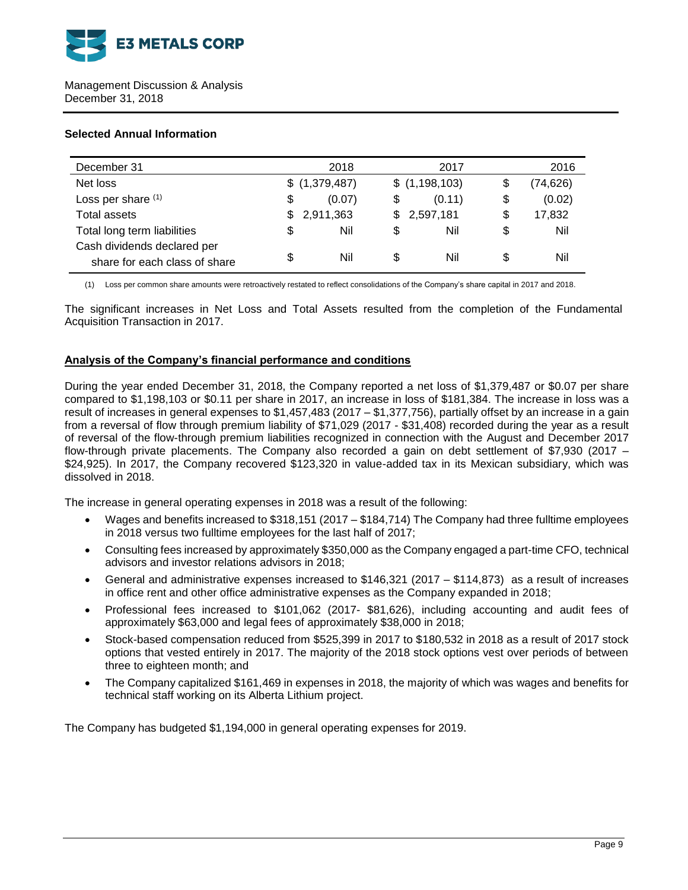

# **Selected Annual Information**

| December 31                                                  | 2018          |     | 2017          | 2016            |
|--------------------------------------------------------------|---------------|-----|---------------|-----------------|
| Net loss                                                     | \$(1,379,487) |     | \$(1,198,103) | \$<br>(74, 626) |
| Loss per share (1)                                           | \$<br>(0.07)  | \$  | (0.11)        | \$<br>(0.02)    |
| <b>Total assets</b>                                          | 2,911,363     | \$. | 2,597,181     | \$<br>17,832    |
| Total long term liabilities                                  | \$<br>Nil     | \$  | Nil           | \$<br>Nil       |
| Cash dividends declared per<br>share for each class of share | \$<br>Nil     | \$  | Nil           | \$<br>Nil       |

(1) Loss per common share amounts were retroactively restated to reflect consolidations of the Company's share capital in 2017 and 2018.

The significant increases in Net Loss and Total Assets resulted from the completion of the Fundamental Acquisition Transaction in 2017.

# **Analysis of the Company's financial performance and conditions**

During the year ended December 31, 2018, the Company reported a net loss of \$1,379,487 or \$0.07 per share compared to \$1,198,103 or \$0.11 per share in 2017, an increase in loss of \$181,384. The increase in loss was a result of increases in general expenses to \$1,457,483 (2017 – \$1,377,756), partially offset by an increase in a gain from a reversal of flow through premium liability of \$71,029 (2017 - \$31,408) recorded during the year as a result of reversal of the flow-through premium liabilities recognized in connection with the August and December 2017 flow-through private placements. The Company also recorded a gain on debt settlement of \$7,930 (2017 – \$24,925). In 2017, the Company recovered \$123,320 in value-added tax in its Mexican subsidiary, which was dissolved in 2018.

The increase in general operating expenses in 2018 was a result of the following:

- Wages and benefits increased to \$318,151 (2017 \$184,714) The Company had three fulltime employees in 2018 versus two fulltime employees for the last half of 2017;
- Consulting fees increased by approximately \$350,000 as the Company engaged a part-time CFO, technical advisors and investor relations advisors in 2018;
- General and administrative expenses increased to \$146,321 (2017 \$114,873) as a result of increases in office rent and other office administrative expenses as the Company expanded in 2018;
- Professional fees increased to \$101,062 (2017- \$81,626), including accounting and audit fees of approximately \$63,000 and legal fees of approximately \$38,000 in 2018;
- Stock-based compensation reduced from \$525,399 in 2017 to \$180,532 in 2018 as a result of 2017 stock options that vested entirely in 2017. The majority of the 2018 stock options vest over periods of between three to eighteen month; and
- The Company capitalized \$161,469 in expenses in 2018, the majority of which was wages and benefits for technical staff working on its Alberta Lithium project.

The Company has budgeted \$1,194,000 in general operating expenses for 2019.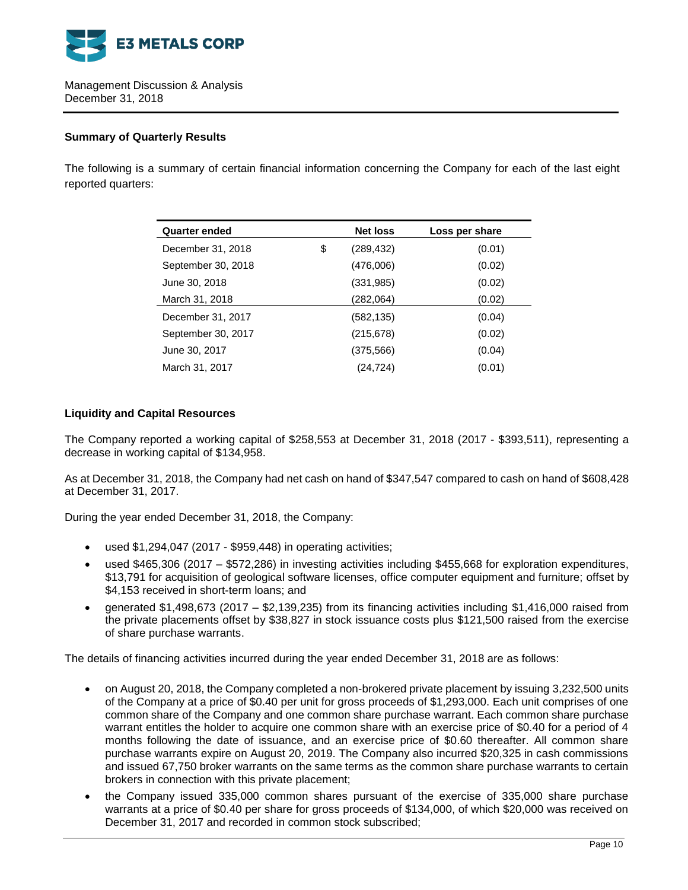

# **Summary of Quarterly Results**

The following is a summary of certain financial information concerning the Company for each of the last eight reported quarters:

| <b>Net loss</b>  | Loss per share |
|------------------|----------------|
| \$<br>(289, 432) | (0.01)         |
| (476,006)        | (0.02)         |
| (331, 985)       | (0.02)         |
| (282,064)        | (0.02)         |
| (582, 135)       | (0.04)         |
| (215, 678)       | (0.02)         |
| (375, 566)       | (0.04)         |
| (24,724)         | (0.01)         |
|                  |                |

# **Liquidity and Capital Resources**

The Company reported a working capital of \$258,553 at December 31, 2018 (2017 - \$393,511), representing a decrease in working capital of \$134,958.

As at December 31, 2018, the Company had net cash on hand of \$347,547 compared to cash on hand of \$608,428 at December 31, 2017.

During the year ended December 31, 2018, the Company:

- used \$1,294,047 (2017 \$959,448) in operating activities;
- used \$465,306 (2017 \$572,286) in investing activities including \$455,668 for exploration expenditures, \$13,791 for acquisition of geological software licenses, office computer equipment and furniture; offset by \$4,153 received in short-term loans; and
- generated \$1,498,673 (2017 \$2,139,235) from its financing activities including \$1,416,000 raised from the private placements offset by \$38,827 in stock issuance costs plus \$121,500 raised from the exercise of share purchase warrants.

The details of financing activities incurred during the year ended December 31, 2018 are as follows:

- on August 20, 2018, the Company completed a non-brokered private placement by issuing 3,232,500 units of the Company at a price of \$0.40 per unit for gross proceeds of \$1,293,000. Each unit comprises of one common share of the Company and one common share purchase warrant. Each common share purchase warrant entitles the holder to acquire one common share with an exercise price of \$0.40 for a period of 4 months following the date of issuance, and an exercise price of \$0.60 thereafter. All common share purchase warrants expire on August 20, 2019. The Company also incurred \$20,325 in cash commissions and issued 67,750 broker warrants on the same terms as the common share purchase warrants to certain brokers in connection with this private placement;
- the Company issued 335,000 common shares pursuant of the exercise of 335,000 share purchase warrants at a price of \$0.40 per share for gross proceeds of \$134,000, of which \$20,000 was received on December 31, 2017 and recorded in common stock subscribed;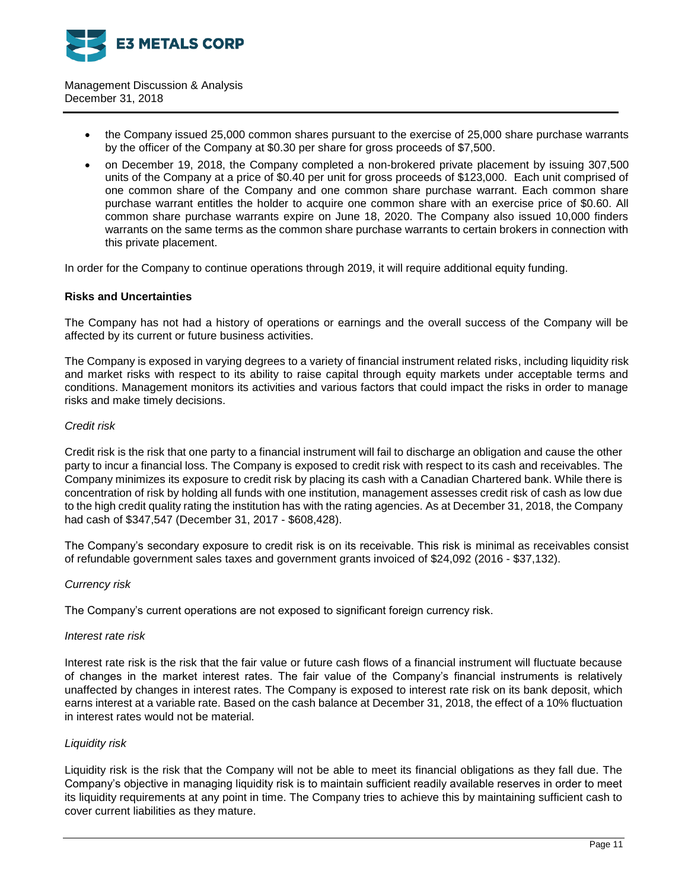

- the Company issued 25,000 common shares pursuant to the exercise of 25,000 share purchase warrants by the officer of the Company at \$0.30 per share for gross proceeds of \$7,500.
- on December 19, 2018, the Company completed a non-brokered private placement by issuing 307,500 units of the Company at a price of \$0.40 per unit for gross proceeds of \$123,000. Each unit comprised of one common share of the Company and one common share purchase warrant. Each common share purchase warrant entitles the holder to acquire one common share with an exercise price of \$0.60. All common share purchase warrants expire on June 18, 2020. The Company also issued 10,000 finders warrants on the same terms as the common share purchase warrants to certain brokers in connection with this private placement.

In order for the Company to continue operations through 2019, it will require additional equity funding.

# **Risks and Uncertainties**

The Company has not had a history of operations or earnings and the overall success of the Company will be affected by its current or future business activities.

The Company is exposed in varying degrees to a variety of financial instrument related risks, including liquidity risk and market risks with respect to its ability to raise capital through equity markets under acceptable terms and conditions. Management monitors its activities and various factors that could impact the risks in order to manage risks and make timely decisions.

#### *Credit risk*

Credit risk is the risk that one party to a financial instrument will fail to discharge an obligation and cause the other party to incur a financial loss. The Company is exposed to credit risk with respect to its cash and receivables. The Company minimizes its exposure to credit risk by placing its cash with a Canadian Chartered bank. While there is concentration of risk by holding all funds with one institution, management assesses credit risk of cash as low due to the high credit quality rating the institution has with the rating agencies. As at December 31, 2018, the Company had cash of \$347,547 (December 31, 2017 - \$608,428).

The Company's secondary exposure to credit risk is on its receivable. This risk is minimal as receivables consist of refundable government sales taxes and government grants invoiced of \$24,092 (2016 - \$37,132).

# *Currency risk*

The Company's current operations are not exposed to significant foreign currency risk.

#### *Interest rate risk*

Interest rate risk is the risk that the fair value or future cash flows of a financial instrument will fluctuate because of changes in the market interest rates. The fair value of the Company's financial instruments is relatively unaffected by changes in interest rates. The Company is exposed to interest rate risk on its bank deposit, which earns interest at a variable rate. Based on the cash balance at December 31, 2018, the effect of a 10% fluctuation in interest rates would not be material.

# *Liquidity risk*

Liquidity risk is the risk that the Company will not be able to meet its financial obligations as they fall due. The Company's objective in managing liquidity risk is to maintain sufficient readily available reserves in order to meet its liquidity requirements at any point in time. The Company tries to achieve this by maintaining sufficient cash to cover current liabilities as they mature.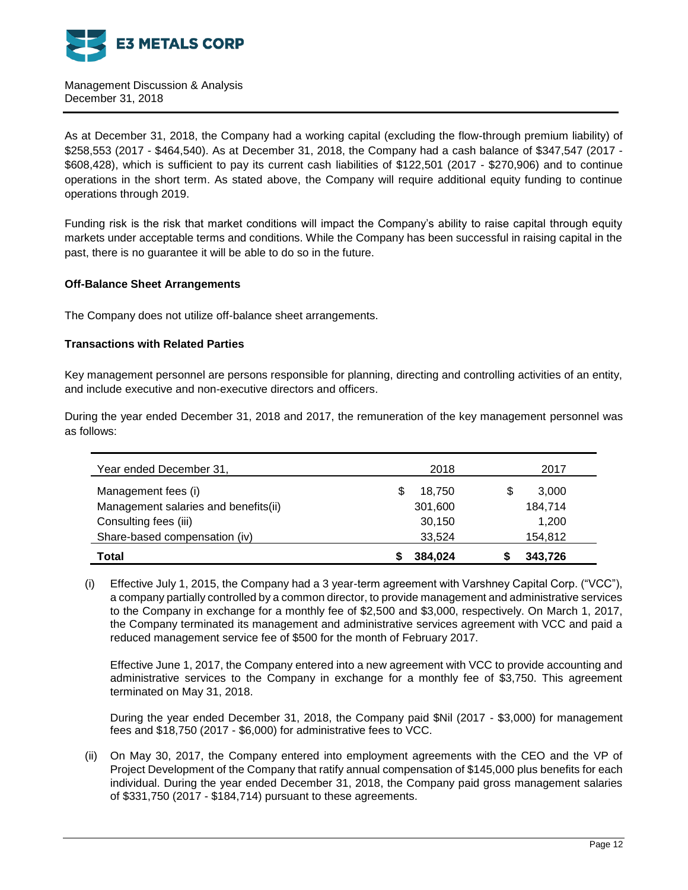

As at December 31, 2018, the Company had a working capital (excluding the flow-through premium liability) of \$258,553 (2017 - \$464,540). As at December 31, 2018, the Company had a cash balance of \$347,547 (2017 - \$608,428), which is sufficient to pay its current cash liabilities of \$122,501 (2017 - \$270,906) and to continue operations in the short term. As stated above, the Company will require additional equity funding to continue operations through 2019.

Funding risk is the risk that market conditions will impact the Company's ability to raise capital through equity markets under acceptable terms and conditions. While the Company has been successful in raising capital in the past, there is no guarantee it will be able to do so in the future.

# **Off-Balance Sheet Arrangements**

The Company does not utilize off-balance sheet arrangements.

# **Transactions with Related Parties**

Key management personnel are persons responsible for planning, directing and controlling activities of an entity, and include executive and non-executive directors and officers.

During the year ended December 31, 2018 and 2017, the remuneration of the key management personnel was as follows:

| Year ended December 31,              | 2018    | 2017    |
|--------------------------------------|---------|---------|
| Management fees (i)                  | 18.750  | 3,000   |
| Management salaries and benefits(ii) | 301,600 | 184,714 |
| Consulting fees (iii)                | 30,150  | 1,200   |
| Share-based compensation (iv)        | 33,524  | 154,812 |
| Total                                | 384.024 | 343,726 |

(i) Effective July 1, 2015, the Company had a 3 year-term agreement with Varshney Capital Corp. ("VCC"), a company partially controlled by a common director, to provide management and administrative services to the Company in exchange for a monthly fee of \$2,500 and \$3,000, respectively. On March 1, 2017, the Company terminated its management and administrative services agreement with VCC and paid a reduced management service fee of \$500 for the month of February 2017.

Effective June 1, 2017, the Company entered into a new agreement with VCC to provide accounting and administrative services to the Company in exchange for a monthly fee of \$3,750. This agreement terminated on May 31, 2018.

During the year ended December 31, 2018, the Company paid \$Nil (2017 - \$3,000) for management fees and \$18,750 (2017 - \$6,000) for administrative fees to VCC.

(ii) On May 30, 2017, the Company entered into employment agreements with the CEO and the VP of Project Development of the Company that ratify annual compensation of \$145,000 plus benefits for each individual. During the year ended December 31, 2018, the Company paid gross management salaries of \$331,750 (2017 - \$184,714) pursuant to these agreements.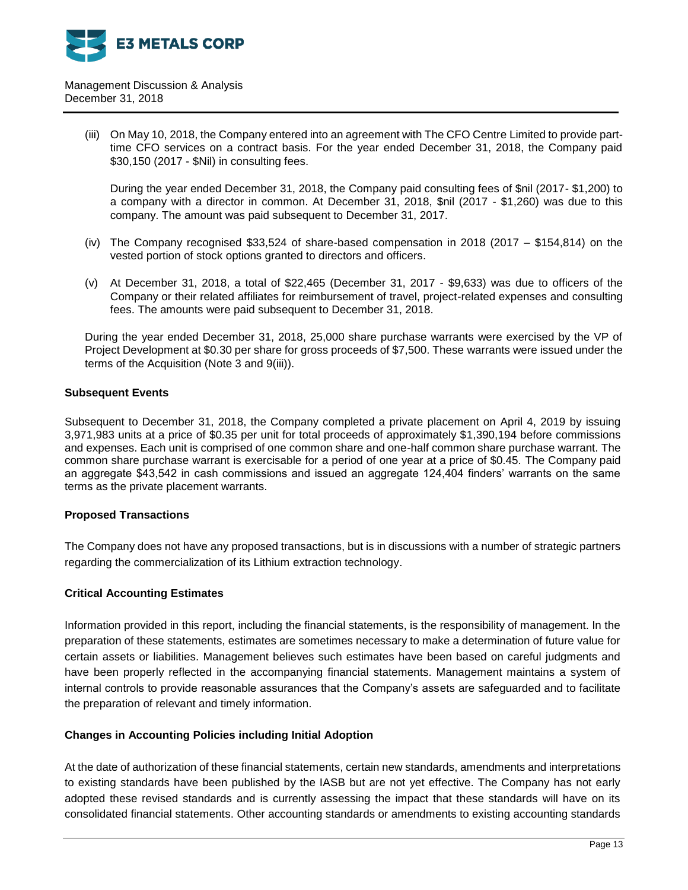

> (iii) On May 10, 2018, the Company entered into an agreement with The CFO Centre Limited to provide parttime CFO services on a contract basis. For the year ended December 31, 2018, the Company paid \$30,150 (2017 - \$Nil) in consulting fees.

During the year ended December 31, 2018, the Company paid consulting fees of \$nil (2017- \$1,200) to a company with a director in common. At December 31, 2018, \$nil (2017 - \$1,260) was due to this company. The amount was paid subsequent to December 31, 2017.

- (iv) The Company recognised \$33,524 of share-based compensation in 2018 (2017 \$154,814) on the vested portion of stock options granted to directors and officers.
- (v) At December 31, 2018, a total of \$22,465 (December 31, 2017 \$9,633) was due to officers of the Company or their related affiliates for reimbursement of travel, project-related expenses and consulting fees. The amounts were paid subsequent to December 31, 2018.

During the year ended December 31, 2018, 25,000 share purchase warrants were exercised by the VP of Project Development at \$0.30 per share for gross proceeds of \$7,500. These warrants were issued under the terms of the Acquisition (Note 3 and 9(iii)).

# **Subsequent Events**

Subsequent to December 31, 2018, the Company completed a private placement on April 4, 2019 by issuing 3,971,983 units at a price of \$0.35 per unit for total proceeds of approximately \$1,390,194 before commissions and expenses. Each unit is comprised of one common share and one-half common share purchase warrant. The common share purchase warrant is exercisable for a period of one year at a price of \$0.45. The Company paid an aggregate \$43,542 in cash commissions and issued an aggregate 124,404 finders' warrants on the same terms as the private placement warrants.

# **Proposed Transactions**

The Company does not have any proposed transactions, but is in discussions with a number of strategic partners regarding the commercialization of its Lithium extraction technology.

# **Critical Accounting Estimates**

Information provided in this report, including the financial statements, is the responsibility of management. In the preparation of these statements, estimates are sometimes necessary to make a determination of future value for certain assets or liabilities. Management believes such estimates have been based on careful judgments and have been properly reflected in the accompanying financial statements. Management maintains a system of internal controls to provide reasonable assurances that the Company's assets are safeguarded and to facilitate the preparation of relevant and timely information.

# **Changes in Accounting Policies including Initial Adoption**

At the date of authorization of these financial statements, certain new standards, amendments and interpretations to existing standards have been published by the IASB but are not yet effective. The Company has not early adopted these revised standards and is currently assessing the impact that these standards will have on its consolidated financial statements. Other accounting standards or amendments to existing accounting standards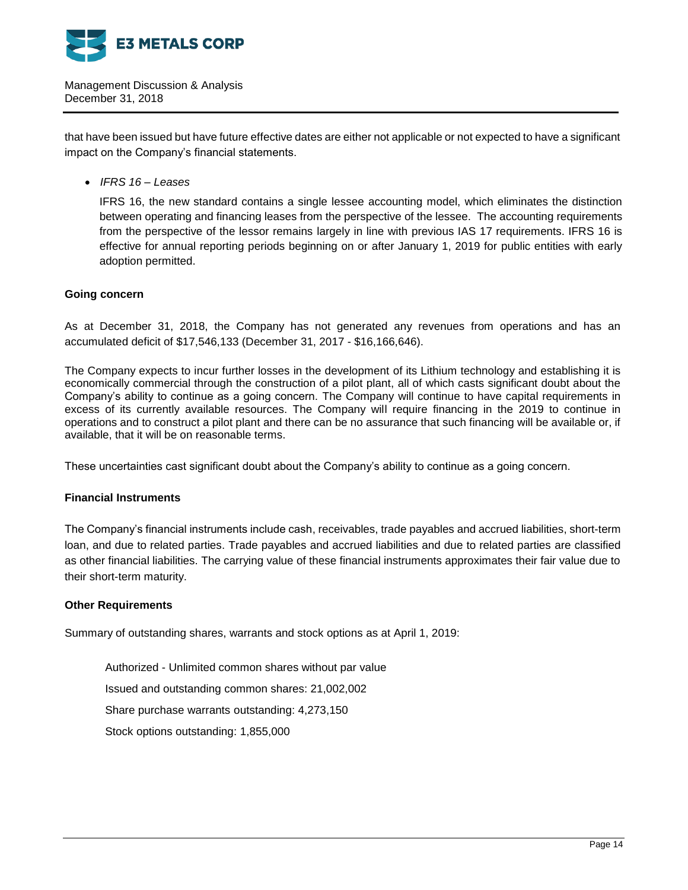

that have been issued but have future effective dates are either not applicable or not expected to have a significant impact on the Company's financial statements.

*IFRS 16 – Leases*

IFRS 16, the new standard contains a single lessee accounting model, which eliminates the distinction between operating and financing leases from the perspective of the lessee. The accounting requirements from the perspective of the lessor remains largely in line with previous IAS 17 requirements. IFRS 16 is effective for annual reporting periods beginning on or after January 1, 2019 for public entities with early adoption permitted.

# **Going concern**

As at December 31, 2018, the Company has not generated any revenues from operations and has an accumulated deficit of \$17,546,133 (December 31, 2017 - \$16,166,646).

The Company expects to incur further losses in the development of its Lithium technology and establishing it is economically commercial through the construction of a pilot plant, all of which casts significant doubt about the Company's ability to continue as a going concern. The Company will continue to have capital requirements in excess of its currently available resources. The Company will require financing in the 2019 to continue in operations and to construct a pilot plant and there can be no assurance that such financing will be available or, if available, that it will be on reasonable terms.

These uncertainties cast significant doubt about the Company's ability to continue as a going concern.

# **Financial Instruments**

The Company's financial instruments include cash, receivables, trade payables and accrued liabilities, short-term loan, and due to related parties. Trade payables and accrued liabilities and due to related parties are classified as other financial liabilities. The carrying value of these financial instruments approximates their fair value due to their short-term maturity.

# **Other Requirements**

Summary of outstanding shares, warrants and stock options as at April 1, 2019:

Authorized - Unlimited common shares without par value Issued and outstanding common shares: 21,002,002 Share purchase warrants outstanding: 4,273,150 Stock options outstanding: 1,855,000